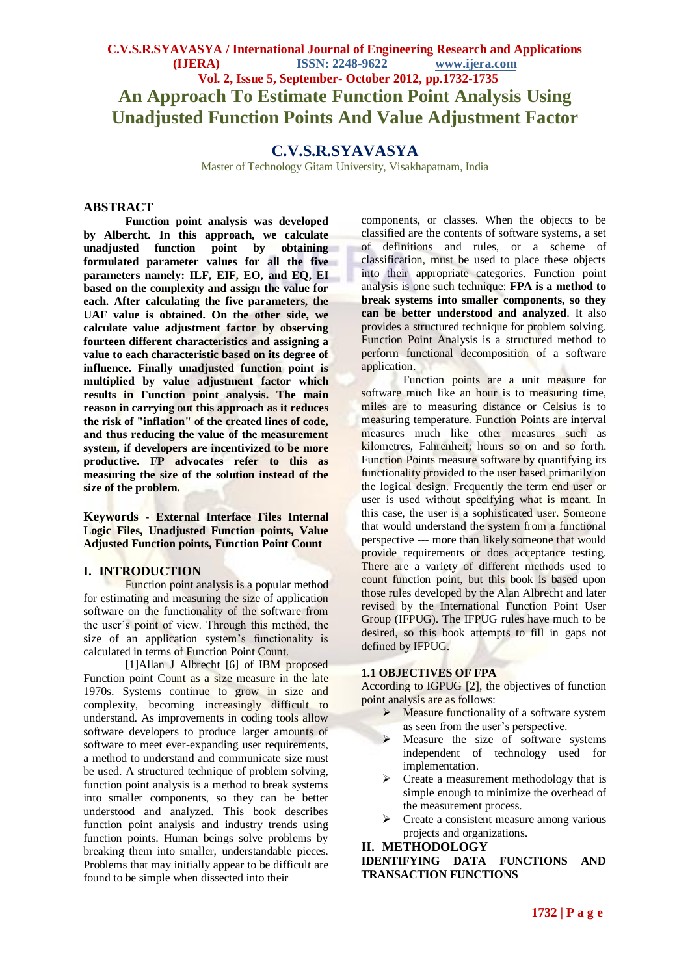# **C.V.S.R.SYAVASYA / International Journal of Engineering Research and Applications (IJERA) ISSN: 2248-9622 www.ijera.com Vol. 2, Issue 5, September- October 2012, pp.1732-1735 An Approach To Estimate Function Point Analysis Using Unadjusted Function Points And Value Adjustment Factor**

# **C.V.S.R.SYAVASYA**

Master of Technology Gitam University, Visakhapatnam, India

#### **ABSTRACT**

**Function point analysis was developed by Albercht. In this approach, we calculate unadjusted function point by obtaining formulated parameter values for all the five parameters namely: ILF, EIF, EO, and EQ, EI based on the complexity and assign the value for each. After calculating the five parameters, the UAF value is obtained. On the other side, we calculate value adjustment factor by observing fourteen different characteristics and assigning a value to each characteristic based on its degree of influence. Finally unadjusted function point is multiplied by value adjustment factor which results in Function point analysis. The main reason in carrying out this approach as it reduces the risk of "inflation" of the created lines of code, and thus reducing the value of the measurement system, if developers are incentivized to be more productive. FP advocates refer to this as measuring the size of the solution instead of the size of the problem.**

**Keywords** *-* **External Interface Files Internal Logic Files, Unadjusted Function points, Value Adjusted Function points, Function Point Count**

#### **I. INTRODUCTION**

Function point analysis is a popular method for estimating and measuring the size of application software on the functionality of the software from the user's point of view. Through this method, the size of an application system's functionality is calculated in terms of Function Point Count.

[1]Allan J Albrecht [6] of IBM proposed Function point Count as a size measure in the late 1970s. Systems continue to grow in size and complexity, becoming increasingly difficult to understand. As improvements in coding tools allow software developers to produce larger amounts of software to meet ever-expanding user requirements. a method to understand and communicate size must be used. A structured technique of problem solving, function point analysis is a method to break systems into smaller components, so they can be better understood and analyzed. This book describes function point analysis and industry trends using function points. Human beings solve problems by breaking them into smaller, understandable pieces. Problems that may initially appear to be difficult are found to be simple when dissected into their

components, or classes. When the objects to be classified are the contents of software systems, a set of definitions and rules, or a scheme of classification, must be used to place these objects into their appropriate categories. Function point analysis is one such technique: **FPA is a method to break systems into smaller components, so they can be better understood and analyzed**. It also provides a structured technique for problem solving. Function Point Analysis is a structured method to perform functional decomposition of a software application.

Function points are a unit measure for software much like an hour is to measuring time. miles are to measuring distance or Celsius is to measuring temperature. Function Points are interval measures much like other measures such as kilometres, Fahrenheit; hours so on and so forth. Function Points measure software by quantifying its functionality provided to the user based primarily on the logical design. Frequently the term end user or user is used without specifying what is meant. In this case, the user is a sophisticated user. Someone that would understand the system from a functional perspective --- more than likely someone that would provide requirements or does acceptance testing. There are a variety of different methods used to count function point, but this book is based upon those rules developed by the Alan Albrecht and later revised by the International Function Point User Group (IFPUG). The IFPUG rules have much to be desired, so this book attempts to fill in gaps not defined by IFPUG.

#### **1.1 OBJECTIVES OF FPA**

According to IGPUG [2], the objectives of function point analysis are as follows:

- $\triangleright$  Measure functionality of a software system as seen from the user's perspective.
- $\triangleright$  Measure the size of software systems independent of technology used for implementation.
- $\triangleright$  Create a measurement methodology that is simple enough to minimize the overhead of the measurement process.
- $\triangleright$  Create a consistent measure among various projects and organizations.

#### **II. METHODOLOGY**

**IDENTIFYING DATA FUNCTIONS AND TRANSACTION FUNCTIONS**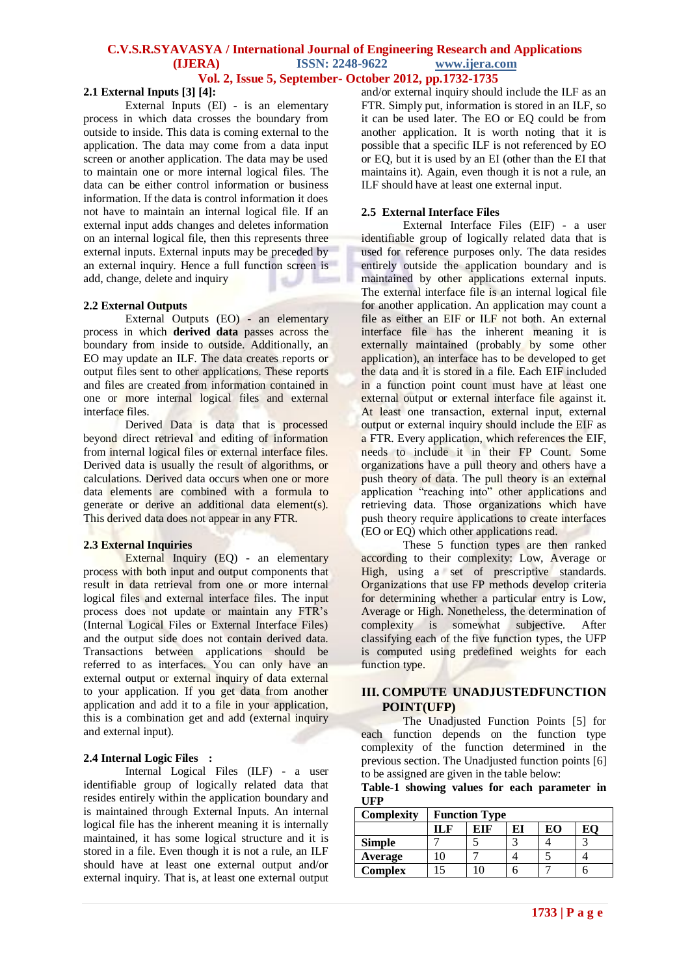#### **C.V.S.R.SYAVASYA / International Journal of Engineering Research and Applications (IJERA) ISSN: 2248-9622 www.ijera.com**

# **Vol. 2, Issue 5, September- October 2012, pp.1732-1735**

## **2.1 External Inputs [3] [4]:**

External Inputs (EI) - is an elementary process in which data crosses the boundary from outside to inside. This data is coming external to the application. The data may come from a data input screen or another application. The data may be used to maintain one or more internal logical files. The data can be either control information or business information. If the data is control information it does not have to maintain an internal logical file. If an external input adds changes and deletes information on an internal logical file, then this represents three external inputs. External inputs may be preceded by an external inquiry. Hence a full function screen is add, change, delete and inquiry

#### **2.2 External Outputs**

External Outputs (EO) - an elementary process in which **derived data** passes across the boundary from inside to outside. Additionally, an EO may update an ILF. The data creates reports or output files sent to other applications. These reports and files are created from information contained in one or more internal logical files and external interface files.

Derived Data is data that is processed beyond direct retrieval and editing of information from internal logical files or external interface files. Derived data is usually the result of algorithms, or calculations. Derived data occurs when one or more data elements are combined with a formula to generate or derive an additional data element(s). This derived data does not appear in any FTR.

#### **2.3 External Inquiries**

External Inquiry (EQ) - an elementary process with both input and output components that result in data retrieval from one or more internal logical files and external interface files. The input process does not update or maintain any FTR's (Internal Logical Files or External Interface Files) and the output side does not contain derived data. Transactions between applications should be referred to as interfaces. You can only have an external output or external inquiry of data external to your application. If you get data from another application and add it to a file in your application, this is a combination get and add (external inquiry and external input).

# **2.4 Internal Logic Files :**

Internal Logical Files (ILF) - a user identifiable group of logically related data that resides entirely within the application boundary and is maintained through External Inputs. An internal logical file has the inherent meaning it is internally maintained, it has some logical structure and it is stored in a file. Even though it is not a rule, an ILF should have at least one external output and/or external inquiry. That is, at least one external output

and/or external inquiry should include the ILF as an FTR. Simply put, information is stored in an ILF, so it can be used later. The EO or EQ could be from another application. It is worth noting that it is possible that a specific ILF is not referenced by EO or EQ, but it is used by an EI (other than the EI that maintains it). Again, even though it is not a rule, an ILF should have at least one external input.

### **2.5 External Interface Files**

External Interface Files (EIF) - a user identifiable group of logically related data that is used for reference purposes only. The data resides entirely outside the application boundary and is maintained by other applications external inputs. The external interface file is an internal logical file for another application. An application may count a file as either an EIF or ILF not both. An external interface file has the inherent meaning it is externally maintained (probably by some other application), an interface has to be developed to get the data and it is stored in a file. Each EIF included in a function point count must have at least one external output or external interface file against it. At least one transaction, external input, external output or external inquiry should include the EIF as a FTR. Every application, which references the EIF. needs to include it in their FP Count. Some organizations have a pull theory and others have a push theory of data. The pull theory is an external application "reaching into" other applications and retrieving data. Those organizations which have push theory require applications to create interfaces (EO or EQ) which other applications read.

These 5 function types are then ranked according to their complexity: Low, Average or High, using a set of prescriptive standards. Organizations that use FP methods develop criteria for determining whether a particular entry is Low, Average or High. Nonetheless, the determination of<br>complexity is somewhat subjective. After complexity is somewhat subjective. After classifying each of the five function types, the UFP is computed using predefined weights for each function type.

# **III. COMPUTE UNADJUSTEDFUNCTION POINT(UFP)**

The Unadjusted Function Points [5] for each function depends on the function type complexity of the function determined in the previous section. The Unadjusted function points [6] to be assigned are given in the table below:

|            |  |  | Table-1 showing values for each parameter in |  |
|------------|--|--|----------------------------------------------|--|
| <b>UFP</b> |  |  |                                              |  |

| <b>Complexity</b> | <b>Function Type</b> |     |    |    |  |
|-------------------|----------------------|-----|----|----|--|
|                   | IL F                 | EIF | EI | EO |  |
| <b>Simple</b>     |                      |     |    |    |  |
| Average           |                      |     |    |    |  |
| <b>Complex</b>    |                      |     |    |    |  |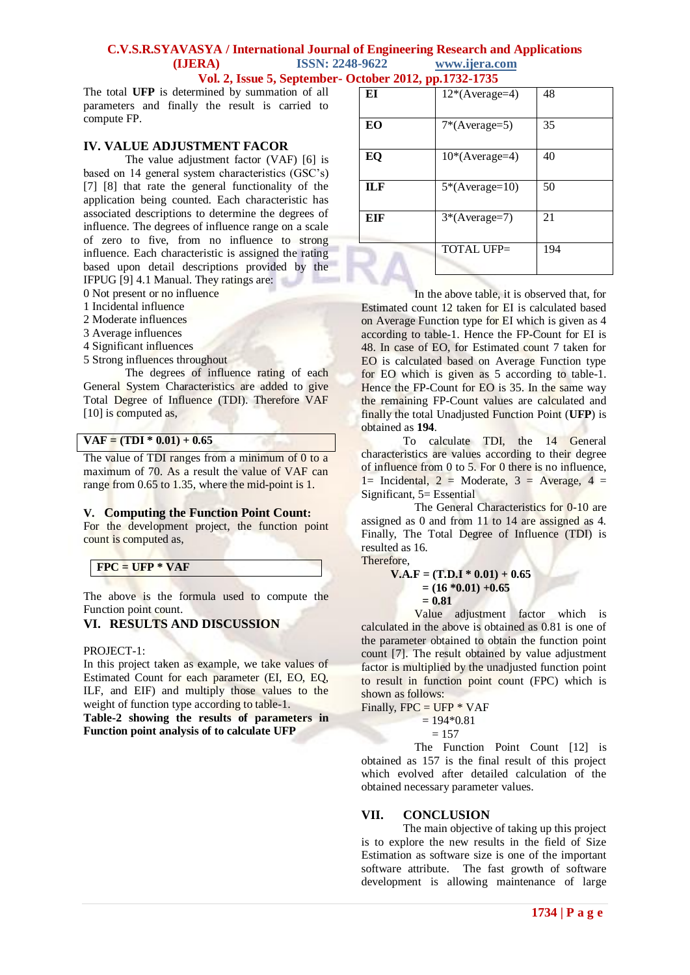## **C.V.S.R.SYAVASYA / International Journal of Engineering Research and Applications (IJERA) ISSN: 2248-9622 www.ijera.com Vol. 2, Issue 5, September- October 2012, pp.1732-1735**

The total **UFP** is determined by summation of all parameters and finally the result is carried to compute FP.

## **IV. VALUE ADJUSTMENT FACOR**

The value adjustment factor (VAF) [6] is based on 14 general system characteristics (GSC's) [7] [8] that rate the general functionality of the application being counted. Each characteristic has associated descriptions to determine the degrees of influence. The degrees of influence range on a scale of zero to five, from no influence to strong influence. Each characteristic is assigned the rating based upon detail descriptions provided by the IFPUG [9] 4.1 Manual. They ratings are:

- 0 Not present or no influence
- 1 Incidental influence
- 2 Moderate influences
- 3 Average influences
- 4 Significant influences
- 5 Strong influences throughout

The degrees of influence rating of each General System Characteristics are added to give Total Degree of Influence (TDI). Therefore VAF [10] is computed as,

# $VAF = (TDI * 0.01) + 0.65$

The value of TDI ranges from a minimum of 0 to a maximum of 70. As a result the value of VAF can range from 0.65 to 1.35, where the mid-point is 1.

#### **V. Computing the Function Point Count:**

For the development project, the function point count is computed as,

| $FPC = UFP * VAF$ |  |  |
|-------------------|--|--|
|                   |  |  |

The above is the formula used to compute the Function point count.

# **VI. RESULTS AND DISCUSSION**

PROJECT-1:

In this project taken as example, we take values of Estimated Count for each parameter (EI, EO, EQ, ILF, and EIF) and multiply those values to the weight of function type according to table-1.

**Table-2 showing the results of parameters in Function point analysis of to calculate UFP**

| ЕI  | $12*(Average=4)$  | 48  |
|-----|-------------------|-----|
| EО  | $7*(Average=5)$   | 35  |
| EQ  | $10*(Average=4)$  | 40  |
| ILF | $5*(Average=10)$  | 50  |
| EIF | 3*(Average=7)     | 21  |
|     | <b>TOTAL UFP=</b> | 194 |

In the above table, it is observed that, for Estimated count 12 taken for EI is calculated based on Average Function type for EI which is given as 4 according to table-1. Hence the FP-Count for EI is 48. In case of EO, for Estimated count 7 taken for EO is calculated based on Average Function type for EO which is given as 5 according to table-1. Hence the FP-Count for EO is 35. In the same way the remaining FP-Count values are calculated and finally the total Unadjusted Function Point (**UFP**) is obtained as **194**.

To calculate TDI, the 14 General characteristics are values according to their degree of influence from 0 to 5. For 0 there is no influence,  $1=$  Incidental,  $2=$  Moderate,  $3=$  Average,  $4=$ Significant, 5= Essential

The General Characteristics for 0-10 are assigned as 0 and from 11 to 14 are assigned as 4. Finally, The Total Degree of Influence (TDI) is resulted as 16.

Therefore,

 $V.A.F = (T.D.I * 0.01) + 0.65$  $= (16 * 0.01) + 0.65$  **= 0.81**

Value adjustment factor which is calculated in the above is obtained as 0.81 is one of the parameter obtained to obtain the function point count [7]. The result obtained by value adjustment factor is multiplied by the unadjusted function point to result in function point count (FPC) which is shown as follows:

Finally,  $FPC = UFP * VAF$  $= 194*0.81$ 

 $= 157$ 

The Function Point Count [12] is obtained as 157 is the final result of this project which evolved after detailed calculation of the obtained necessary parameter values.

#### **VII. CONCLUSION**

The main objective of taking up this project is to explore the new results in the field of Size Estimation as software size is one of the important software attribute. The fast growth of software development is allowing maintenance of large